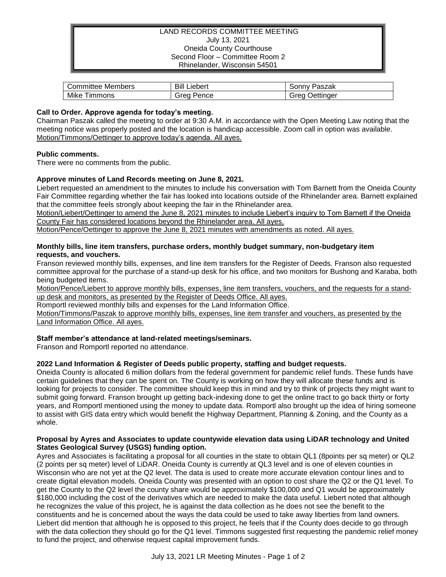## LAND RECORDS COMMITTEE MEETING July 13, 2021 Oneida County Courthouse Second Floor – Committee Room 2 Rhinelander, Wisconsin 54501

| Members   | Bill    | Paszak    |
|-----------|---------|-----------|
| Committee | Liebert | .onnv     |
| Mike      | Grea    | Oettinger |
| ∖ ımmons  | Pence   | reoد      |

## **Call to Order. Approve agenda for today's meeting.**

Chairman Paszak called the meeting to order at 9:30 A.M. in accordance with the Open Meeting Law noting that the meeting notice was properly posted and the location is handicap accessible. Zoom call in option was available. Motion/Timmons/Oettinger to approve today's agenda. All ayes.

## **Public comments.**

There were no comments from the public.

# **Approve minutes of Land Records meeting on June 8, 2021.**

Liebert requested an amendment to the minutes to include his conversation with Tom Barnett from the Oneida County Fair Committee regarding whether the fair has looked into locations outside of the Rhinelander area. Barnett explained that the committee feels strongly about keeping the fair in the Rhinelander area.

Motion/Liebert/Oettinger to amend the June 8, 2021 minutes to include Liebert's inquiry to Tom Barnett if the Oneida County Fair has considered locations beyond the Rhinelander area. All ayes.

Motion/Pence/Oettinger to approve the June 8, 2021 minutes with amendments as noted. All ayes.

## **Monthly bills, line item transfers, purchase orders, monthly budget summary, non-budgetary item requests, and vouchers.**

Franson reviewed monthly bills, expenses, and line item transfers for the Register of Deeds. Franson also requested committee approval for the purchase of a stand-up desk for his office, and two monitors for Bushong and Karaba, both being budgeted items.

Motion/Pence/Liebert to approve monthly bills, expenses, line item transfers, vouchers, and the requests for a standup desk and monitors, as presented by the Register of Deeds Office. All ayes.

Romportl reviewed monthly bills and expenses for the Land Information Office.

Motion/Timmons/Paszak to approve monthly bills, expenses, line item transfer and vouchers, as presented by the Land Information Office. All ayes.

# **Staff member's attendance at land-related meetings/seminars.**

Franson and Romportl reported no attendance.

# **2022 Land Information & Register of Deeds public property, staffing and budget requests.**

Oneida County is allocated 6 million dollars from the federal government for pandemic relief funds. These funds have certain guidelines that they can be spent on. The County is working on how they will allocate these funds and is looking for projects to consider. The committee should keep this in mind and try to think of projects they might want to submit going forward. Franson brought up getting back-indexing done to get the online tract to go back thirty or forty years, and Romportl mentioned using the money to update data. Romportl also brought up the idea of hiring someone to assist with GIS data entry which would benefit the Highway Department, Planning & Zoning, and the County as a whole.

#### **Proposal by Ayres and Associates to update countywide elevation data using LiDAR technology and United States Geological Survey (USGS) funding option.**

Ayres and Associates is facilitating a proposal for all counties in the state to obtain QL1 (8points per sq meter) or QL2 (2 points per sq meter) level of LiDAR. Oneida County is currently at QL3 level and is one of eleven counties in Wisconsin who are not yet at the Q2 level. The data is used to create more accurate elevation contour lines and to create digital elevation models. Oneida County was presented with an option to cost share the Q2 or the Q1 level. To get the County to the Q2 level the county share would be approximately \$100,000 and Q1 would be approximately \$180,000 including the cost of the derivatives which are needed to make the data useful. Liebert noted that although he recognizes the value of this project, he is against the data collection as he does not see the benefit to the constituents and he is concerned about the ways the data could be used to take away liberties from land owners. Liebert did mention that although he is opposed to this project, he feels that if the County does decide to go through with the data collection they should go for the Q1 level. Timmons suggested first requesting the pandemic relief money to fund the project, and otherwise request capital improvement funds.